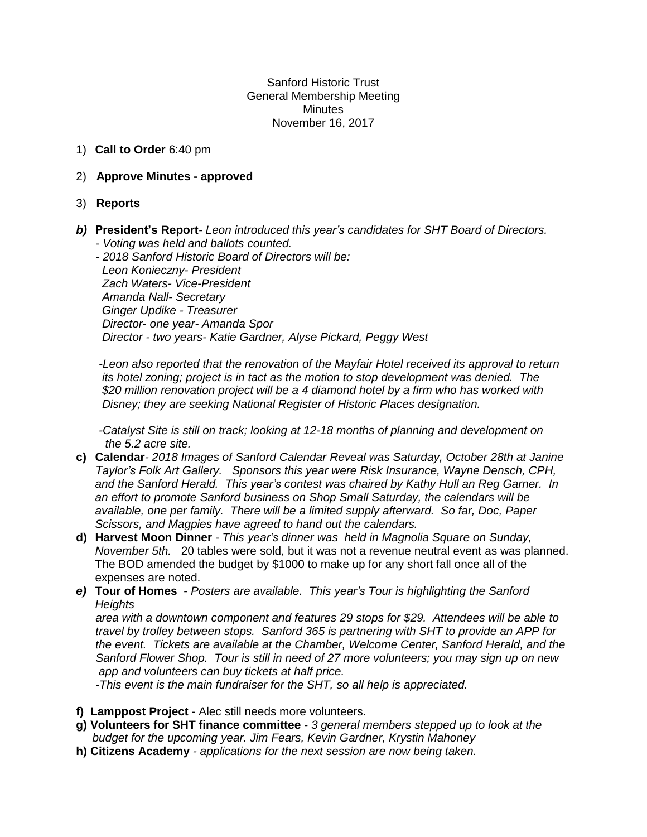Sanford Historic Trust General Membership Meeting **Minutes** November 16, 2017

1) **Call to Order** 6:40 pm

## 2) **Approve Minutes - approved**

- 3) **Reports**
- *b)* **President's Report***- Leon introduced this year's candidates for SHT Board of Directors. - Voting was held and ballots counted.*

 *- 2018 Sanford Historic Board of Directors will be: Leon Konieczny- President Zach Waters- Vice-President Amanda Nall- Secretary Ginger Updike - Treasurer Director- one year- Amanda Spor Director - two years- Katie Gardner, Alyse Pickard, Peggy West*

 *-Leon also reported that the renovation of the Mayfair Hotel received its approval to return its hotel zoning; project is in tact as the motion to stop development was denied. The \$20 million renovation project will be a 4 diamond hotel by a firm who has worked with Disney; they are seeking National Register of Historic Places designation.*

 *-Catalyst Site is still on track; looking at 12-18 months of planning and development on the 5.2 acre site.*

- **c) Calendar***- 2018 Images of Sanford Calendar Reveal was Saturday, October 28th at Janine Taylor's Folk Art Gallery. Sponsors this year were Risk Insurance, Wayne Densch, CPH, and the Sanford Herald. This year's contest was chaired by Kathy Hull an Reg Garner. In an effort to promote Sanford business on Shop Small Saturday, the calendars will be available, one per family. There will be a limited supply afterward. So far, Doc, Paper Scissors, and Magpies have agreed to hand out the calendars.*
- **d) Harvest Moon Dinner** *- This year's dinner was held in Magnolia Square on Sunday, November 5th.* 20 tables were sold, but it was not a revenue neutral event as was planned. The BOD amended the budget by \$1000 to make up for any short fall once all of the expenses are noted.
- *e)* **Tour of Homes** *- Posters are available. This year's Tour is highlighting the Sanford Heights*

 *area with a downtown component and features 29 stops for \$29. Attendees will be able to travel by trolley between stops. Sanford 365 is partnering with SHT to provide an APP for the event. Tickets are available at the Chamber, Welcome Center, Sanford Herald, and the Sanford Flower Shop. Tour is still in need of 27 more volunteers; you may sign up on new app and volunteers can buy tickets at half price.* 

 *-This event is the main fundraiser for the SHT, so all help is appreciated.*

- **f) Lamppost Project** Alec still needs more volunteers.
- **g) Volunteers for SHT finance committee** *- 3 general members stepped up to look at the budget for the upcoming year. Jim Fears, Kevin Gardner, Krystin Mahoney*
- **h) Citizens Academy** *- applications for the next session are now being taken.*